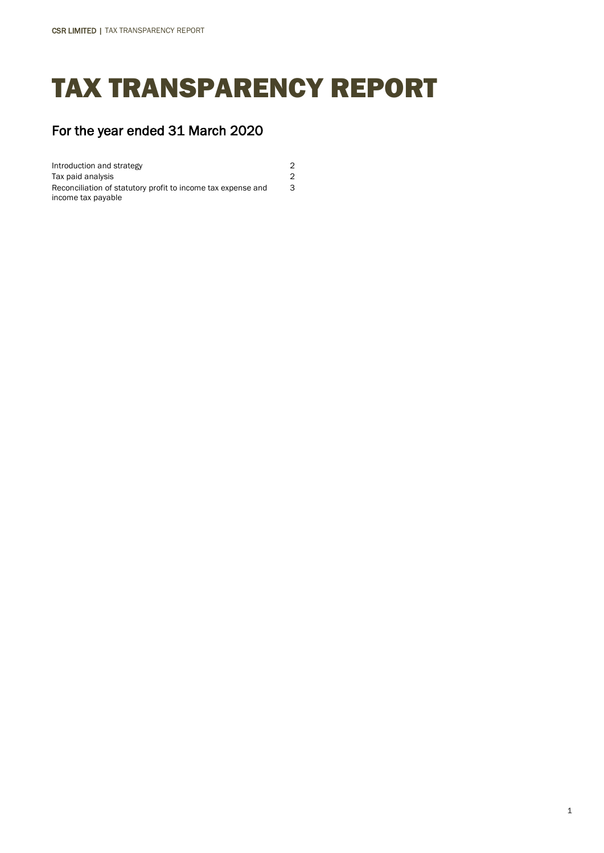# TAX TRANSPARENCY REPORT

3

## For the year ended 31 March 2020

Introduction and strategy 2 Tax paid analysis 2 Reconciliation of statutory profit to income tax expense and income tax payable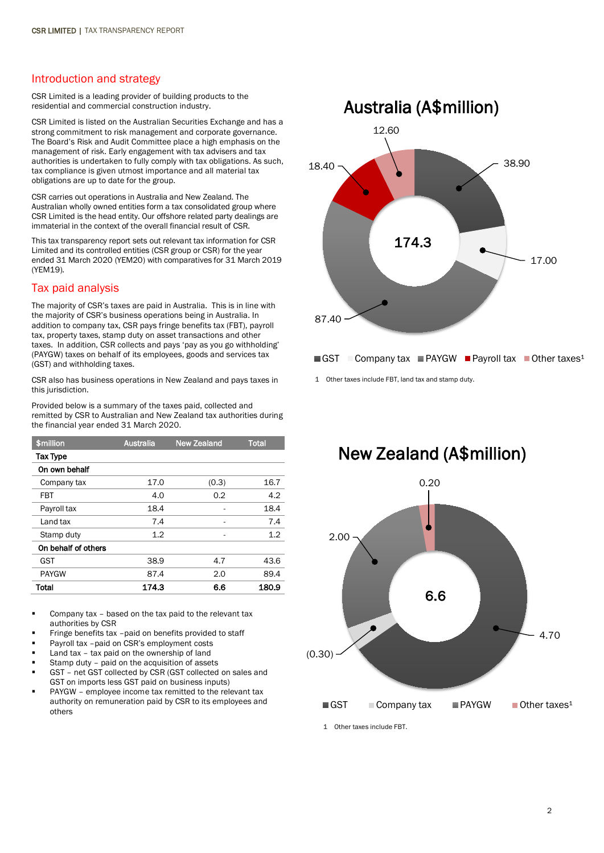### Introduction and strategy

CSR Limited is a leading provider of building products to the residential and commercial construction industry.

CSR Limited is listed on the Australian Securities Exchange and has a strong commitment to risk management and corporate governance. The Board's Risk and Audit Committee place a high emphasis on the management of risk. Early engagement with tax advisers and tax authorities is undertaken to fully comply with tax obligations. As such, tax compliance is given utmost importance and all material tax obligations are up to date for the group.

CSR carries out operations in Australia and New Zealand. The Australian wholly owned entities form a tax consolidated group where CSR Limited is the head entity. Our offshore related party dealings are immaterial in the context of the overall financial result of CSR.

This tax transparency report sets out relevant tax information for CSR Limited and its controlled entities (CSR group or CSR) for the year ended 31 March 2020 (YEM20) with comparatives for 31 March 2019 (YEM19).

### Tax paid analysis

The majority of CSR's taxes are paid in Australia. This is in line with the majority of CSR's business operations being in Australia. In addition to company tax, CSR pays fringe benefits tax (FBT), payroll tax, property taxes, stamp duty on asset transactions and other taxes. In addition, CSR collects and pays 'pay as you go withholding' (PAYGW) taxes on behalf of its employees, goods and services tax (GST) and withholding taxes.

CSR also has business operations in New Zealand and pays taxes in this jurisdiction.

Provided below is a summary of the taxes paid, collected and remitted by CSR to Australian and New Zealand tax authorities during the financial year ended 31 March 2020.

| \$million           | Australia | <b>New Zealand</b> | <b>Total</b> |
|---------------------|-----------|--------------------|--------------|
| <b>Tax Type</b>     |           |                    |              |
| On own behalf       |           |                    |              |
| Company tax         | 17.0      | (0.3)              | 16.7         |
| FBT                 | 4.0       | 0.2                | 4.2          |
| Payroll tax         | 18.4      |                    | 18.4         |
| Land tax            | 7.4       |                    | 7.4          |
| Stamp duty          | 1.2       |                    | 1.2          |
| On behalf of others |           |                    |              |
| GST                 | 38.9      | 4.7                | 43.6         |
| PAYGW               | 87.4      | 2.0                | 89.4         |
| Total               | 174.3     | 6.6                | 180.9        |

 Company tax – based on the tax paid to the relevant tax authorities by CSR

- Fringe benefits tax –paid on benefits provided to staff
- Payroll tax –paid on CSR's employment costs
- Land tax tax paid on the ownership of land
- Stamp duty paid on the acquisition of assets
- GST net GST collected by CSR (GST collected on sales and GST on imports less GST paid on business inputs)
- PAYGW employee income tax remitted to the relevant tax authority on remuneration paid by CSR to its employees and others



1 Other taxes include FBT, land tax and stamp duty.

# New Zealand (A\$million)